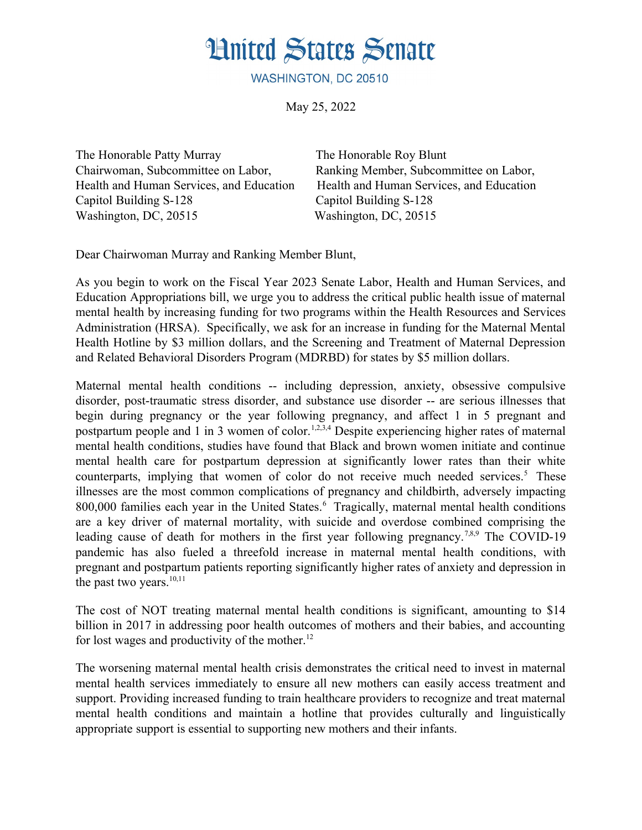## **Hnited States Senate**

WASHINGTON, DC 20510

May 25, 2022

The Honorable Patty Murray The Honorable Roy Blunt Capitol Building S-128 Capitol Building S-128 Washington, DC, 20515 Washington, DC, 20515

Chairwoman, Subcommittee on Labor, Ranking Member, Subcommittee on Labor, Health and Human Services, and Education Health and Human Services, and Education

Dear Chairwoman Murray and Ranking Member Blunt,

As you begin to work on the Fiscal Year 2023 Senate Labor, Health and Human Services, and Education Appropriations bill, we urge you to address the critical public health issue of maternal mental health by increasing funding for two programs within the Health Resources and Services Administration (HRSA). Specifically, we ask for an increase in funding for the Maternal Mental Health Hotline by \$3 million dollars, and the Screening and Treatment of Maternal Depression and Related Behavioral Disorders Program (MDRBD) for states by \$5 million dollars.

Maternal mental health conditions -- including depression, anxiety, obsessive compulsive disorder, post-traumatic stress disorder, and substance use disorder -- are serious illnesses that begin during pregnancy or the year following pregnancy, and affect 1 in 5 pregnant and postpartum people and 1 in 3 women of color.<sup>1,2,3,4</sup> Despite experiencing higher rates of maternal mental health conditions, studies have found that Black and brown women initiate and continue mental health care for postpartum depression at significantly lower rates than their white counterparts, implying that women of color do not receive much needed services.<sup>5</sup> These illnesses are the most common complications of pregnancy and childbirth, adversely impacting  $800,000$  families each year in the United States.  $\overline{6}$  Tragically, maternal mental health conditions are a key driver of maternal mortality, with suicide and overdose combined comprising the leading cause of death for mothers in the first year following pregnancy.<sup>7,8,9</sup> The COVID-19 pandemic has also fueled a threefold increase in maternal mental health conditions, with pregnant and postpartum patients reporting significantly higher rates of anxiety and depression in the past two years. $10,11$ 

The cost of NOT treating maternal mental health conditions is significant, amounting to \$14 billion in 2017 in addressing poor health outcomes of mothers and their babies, and accounting for lost wages and productivity of the mother. $^{12}$ 

The worsening maternal mental health crisis demonstrates the critical need to invest in maternal mental health services immediately to ensure all new mothers can easily access treatment and support. Providing increased funding to train healthcare providers to recognize and treat maternal mental health conditions and maintain a hotline that provides culturally and linguistically appropriate support is essential to supporting new mothers and their infants.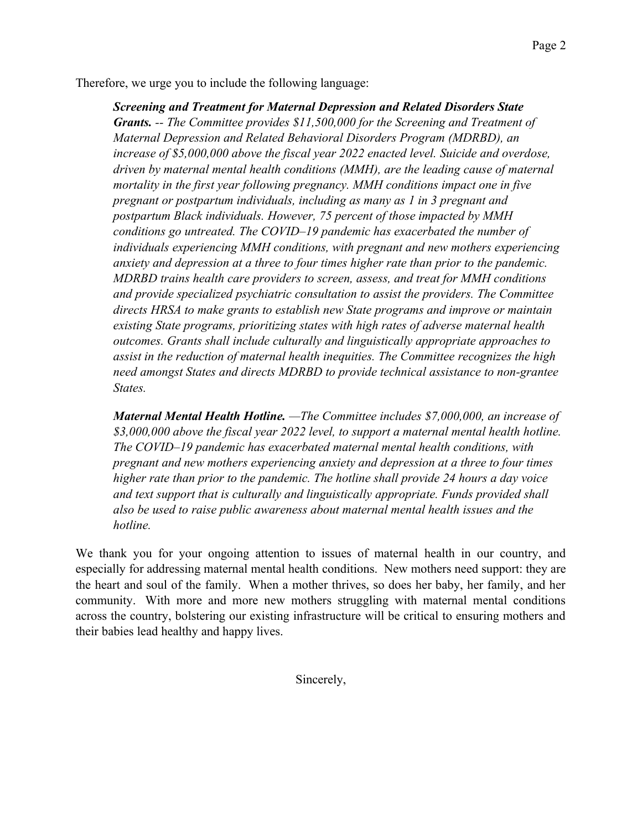Therefore, we urge you to include the following language:

*Screening and Treatment for Maternal Depression and Related Disorders State Grants. -- The Committee provides \$11,500,000 for the Screening and Treatment of Maternal Depression and Related Behavioral Disorders Program (MDRBD), an increase of \$5,000,000 above the fiscal year 2022 enacted level. Suicide and overdose, driven by maternal mental health conditions (MMH), are the leading cause of maternal mortality in the first year following pregnancy. MMH conditions impact one in five pregnant or postpartum individuals, including as many as 1 in 3 pregnant and postpartum Black individuals. However, 75 percent of those impacted by MMH conditions go untreated. The COVID–19 pandemic has exacerbated the number of individuals experiencing MMH conditions, with pregnant and new mothers experiencing anxiety and depression at a three to four times higher rate than prior to the pandemic. MDRBD trains health care providers to screen, assess, and treat for MMH conditions and provide specialized psychiatric consultation to assist the providers. The Committee directs HRSA to make grants to establish new State programs and improve or maintain existing State programs, prioritizing states with high rates of adverse maternal health outcomes. Grants shall include culturally and linguistically appropriate approaches to assist in the reduction of maternal health inequities. The Committee recognizes the high need amongst States and directs MDRBD to provide technical assistance to non-grantee States.*

*Maternal Mental Health Hotline. —The Committee includes \$7,000,000, an increase of \$3,000,000 above the fiscal year 2022 level, to support a maternal mental health hotline. The COVID–19 pandemic has exacerbated maternal mental health conditions, with pregnant and new mothers experiencing anxiety and depression at a three to four times higher rate than prior to the pandemic. The hotline shall provide 24 hours a day voice and text support that is culturally and linguistically appropriate. Funds provided shall also be used to raise public awareness about maternal mental health issues and the hotline.*

We thank you for your ongoing attention to issues of maternal health in our country, and especially for addressing maternal mental health conditions. New mothers need support: they are the heart and soul of the family. When a mother thrives, so does her baby, her family, and her community. With more and more new mothers struggling with maternal mental conditions across the country, bolstering our existing infrastructure will be critical to ensuring mothers and their babies lead healthy and happy lives.

Sincerely,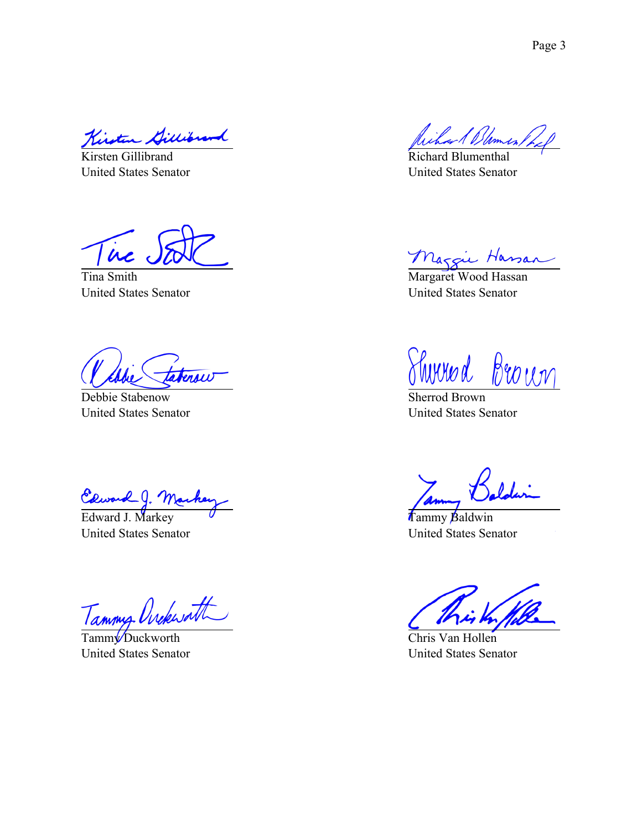Kirt

Kirsten Gillibrand United States Senator

ire

Tina Smith United States Senator

terow

Debbie Stabenow United States Senator

Clward J. Markey

United States Senator

Tammy Ovekwatt

Tamm<sup>y</sup> Duckworth United States Senator

Richard Blumenthal United States Senator

Maggie Hassan

United States Senator

Shirred Brown

Sherrod Brown United States Senator

Tammy Baldwin United States Senator

Chris Van Hollen United States Senator